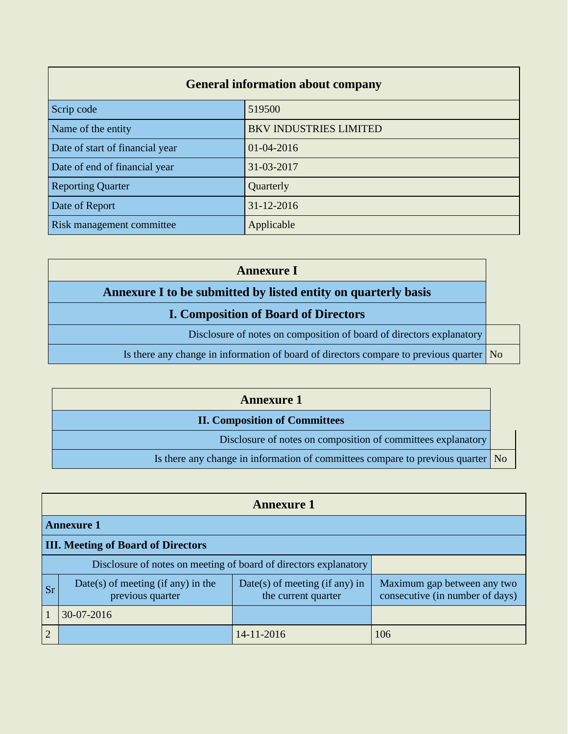## **General information about company**

| Scrip code                       | 519500                        |  |
|----------------------------------|-------------------------------|--|
| Name of the entity               | <b>BKV INDUSTRIES LIMITED</b> |  |
| Date of start of financial year  | $01-04-2016$                  |  |
| Date of end of financial year    | 31-03-2017                    |  |
| <b>Reporting Quarter</b>         | Quarterly                     |  |
| Date of Report                   | 31-12-2016                    |  |
| <b>Risk management committee</b> | Applicable                    |  |

| <b>Annexure I</b>                                                                               |  |
|-------------------------------------------------------------------------------------------------|--|
| Annexure I to be submitted by listed entity on quarterly basis                                  |  |
| <b>I. Composition of Board of Directors</b>                                                     |  |
| Disclosure of notes on composition of board of directors explanatory                            |  |
| Is there any change in information of board of directors compare to previous quarter $\vert$ No |  |

| <b>Annexure 1</b>                                                                       |  |
|-----------------------------------------------------------------------------------------|--|
| <b>II. Composition of Committees</b>                                                    |  |
| Disclosure of notes on composition of committees explanatory                            |  |
| Is there any change in information of committees compare to previous quarter $\vert$ No |  |

|                                                                  | <b>Annexure 1</b>                                      |                                                         |                                                                |  |  |
|------------------------------------------------------------------|--------------------------------------------------------|---------------------------------------------------------|----------------------------------------------------------------|--|--|
|                                                                  | <b>Annexure 1</b>                                      |                                                         |                                                                |  |  |
|                                                                  | <b>III. Meeting of Board of Directors</b>              |                                                         |                                                                |  |  |
| Disclosure of notes on meeting of board of directors explanatory |                                                        |                                                         |                                                                |  |  |
| <b>Sr</b>                                                        | Date(s) of meeting (if any) in the<br>previous quarter | $Date(s)$ of meeting (if any) in<br>the current quarter | Maximum gap between any two<br>consecutive (in number of days) |  |  |
|                                                                  | 30-07-2016                                             |                                                         |                                                                |  |  |
| $\overline{2}$                                                   |                                                        | 14-11-2016                                              | 106                                                            |  |  |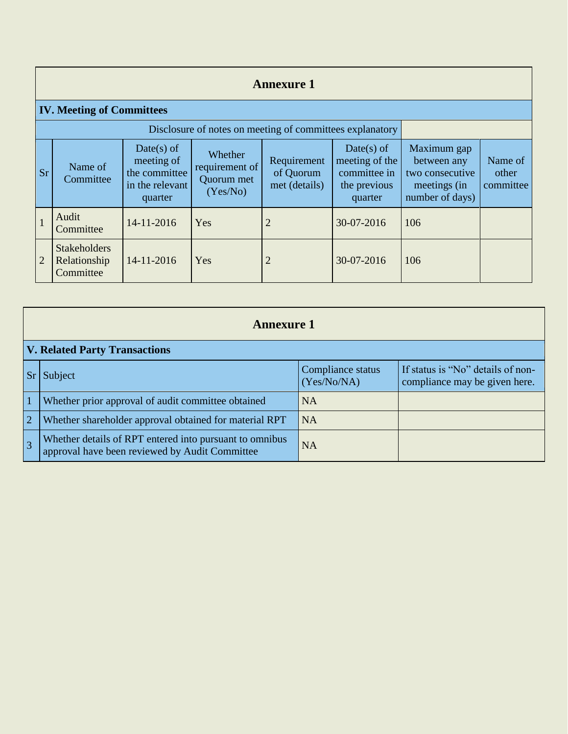## **Annexure 1**

## **IV. Meeting of Committees**

| Disclosure of notes on meeting of committees explanatory |                                                  |                                                                         |                                                     |                                           |                                                                           |                                                                                  |                               |
|----------------------------------------------------------|--------------------------------------------------|-------------------------------------------------------------------------|-----------------------------------------------------|-------------------------------------------|---------------------------------------------------------------------------|----------------------------------------------------------------------------------|-------------------------------|
| <b>Sr</b>                                                | Name of<br>Committee                             | Date(s) of<br>meeting of<br>the committee<br>in the relevant<br>quarter | Whether<br>requirement of<br>Quorum met<br>(Yes/No) | Requirement<br>of Quorum<br>met (details) | $Date(s)$ of<br>meeting of the<br>committee in<br>the previous<br>quarter | Maximum gap<br>between any<br>two consecutive<br>meetings (in<br>number of days) | Name of<br>other<br>committee |
|                                                          | Audit<br>Committee                               | 14-11-2016                                                              | Yes                                                 | 2                                         | 30-07-2016                                                                | 106                                                                              |                               |
| 2                                                        | <b>Stakeholders</b><br>Relationship<br>Committee | 14-11-2016                                                              | Yes                                                 | 2                                         | 30-07-2016                                                                | 106                                                                              |                               |

|                | <b>Annexure 1</b>                                                                                         |                                  |                                                                    |  |  |
|----------------|-----------------------------------------------------------------------------------------------------------|----------------------------------|--------------------------------------------------------------------|--|--|
|                | <b>V. Related Party Transactions</b>                                                                      |                                  |                                                                    |  |  |
|                | Subject                                                                                                   | Compliance status<br>(Yes/No/NA) | If status is "No" details of non-<br>compliance may be given here. |  |  |
| $\overline{1}$ | Whether prior approval of audit committee obtained                                                        | <b>NA</b>                        |                                                                    |  |  |
| $\overline{2}$ | Whether shareholder approval obtained for material RPT                                                    | <b>NA</b>                        |                                                                    |  |  |
| $\overline{3}$ | Whether details of RPT entered into pursuant to omnibus<br>approval have been reviewed by Audit Committee | <b>NA</b>                        |                                                                    |  |  |